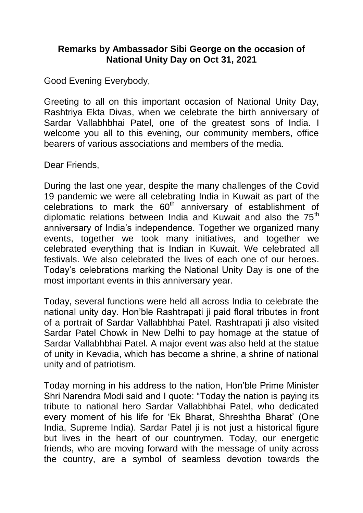## **Remarks by Ambassador Sibi George on the occasion of National Unity Day on Oct 31, 2021**

Good Evening Everybody,

Greeting to all on this important occasion of National Unity Day, Rashtriya Ekta Divas, when we celebrate the birth anniversary of Sardar Vallabhbhai Patel, one of the greatest sons of India. I welcome you all to this evening, our community members, office bearers of various associations and members of the media.

Dear Friends,

During the last one year, despite the many challenges of the Covid 19 pandemic we were all celebrating India in Kuwait as part of the celebrations to mark the  $60<sup>th</sup>$  anniversary of establishment of diplomatic relations between India and Kuwait and also the 75<sup>th</sup> anniversary of India"s independence. Together we organized many events, together we took many initiatives, and together we celebrated everything that is Indian in Kuwait. We celebrated all festivals. We also celebrated the lives of each one of our heroes. Today"s celebrations marking the National Unity Day is one of the most important events in this anniversary year.

Today, several functions were held all across India to celebrate the national unity day. Hon"ble Rashtrapati ji paid floral tributes in front of a portrait of Sardar Vallabhbhai Patel. Rashtrapati ji also visited Sardar Patel Chowk in New Delhi to pay homage at the statue of Sardar Vallabhbhai Patel. A major event was also held at the statue of unity in Kevadia, which has become a shrine, a shrine of national unity and of patriotism.

Today morning in his address to the nation, Hon"ble Prime Minister Shri Narendra Modi said and I quote: "Today the nation is paying its tribute to national hero Sardar Vallabhbhai Patel, who dedicated every moment of his life for "Ek Bharat, Shreshtha Bharat" (One India, Supreme India). Sardar Patel ji is not just a historical figure but lives in the heart of our countrymen. Today, our energetic friends, who are moving forward with the message of unity across the country, are a symbol of seamless devotion towards the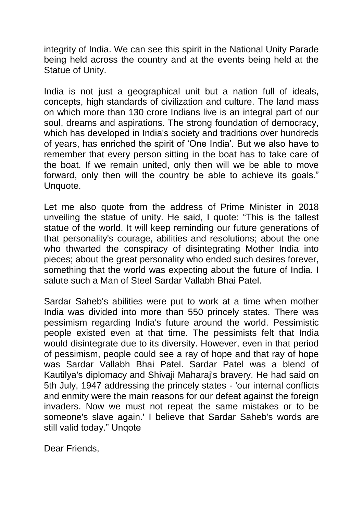integrity of India. We can see this spirit in the National Unity Parade being held across the country and at the events being held at the Statue of Unity.

India is not just a geographical unit but a nation full of ideals, concepts, high standards of civilization and culture. The land mass on which more than 130 crore Indians live is an integral part of our soul, dreams and aspirations. The strong foundation of democracy, which has developed in India's society and traditions over hundreds of years, has enriched the spirit of "One India". But we also have to remember that every person sitting in the boat has to take care of the boat. If we remain united, only then will we be able to move forward, only then will the country be able to achieve its goals." Unquote.

Let me also quote from the address of Prime Minister in 2018 unveiling the statue of unity. He said, I quote: "This is the tallest statue of the world. It will keep reminding our future generations of that personality's courage, abilities and resolutions; about the one who thwarted the conspiracy of disintegrating Mother India into pieces; about the great personality who ended such desires forever, something that the world was expecting about the future of India. I salute such a Man of Steel Sardar Vallabh Bhai Patel.

Sardar Saheb's abilities were put to work at a time when mother India was divided into more than 550 princely states. There was pessimism regarding India's future around the world. Pessimistic people existed even at that time. The pessimists felt that India would disintegrate due to its diversity. However, even in that period of pessimism, people could see a ray of hope and that ray of hope was Sardar Vallabh Bhai Patel. Sardar Patel was a blend of Kautilya's diplomacy and Shivaji Maharaj's bravery. He had said on 5th July, 1947 addressing the princely states - 'our internal conflicts and enmity were the main reasons for our defeat against the foreign invaders. Now we must not repeat the same mistakes or to be someone's slave again.' I believe that Sardar Saheb's words are still valid today." Unqote

Dear Friends,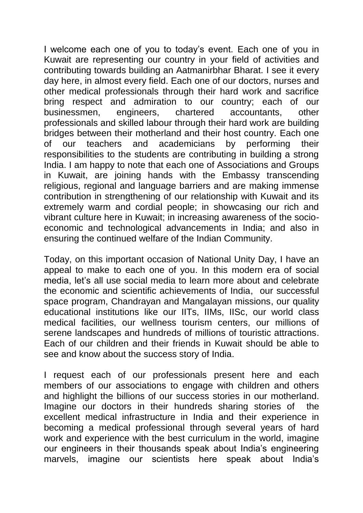I welcome each one of you to today"s event. Each one of you in Kuwait are representing our country in your field of activities and contributing towards building an Aatmanirbhar Bharat. I see it every day here, in almost every field. Each one of our doctors, nurses and other medical professionals through their hard work and sacrifice bring respect and admiration to our country; each of our businessmen, engineers, chartered accountants, other professionals and skilled labour through their hard work are building bridges between their motherland and their host country. Each one of our teachers and academicians by performing their responsibilities to the students are contributing in building a strong India. I am happy to note that each one of Associations and Groups in Kuwait, are joining hands with the Embassy transcending religious, regional and language barriers and are making immense contribution in strengthening of our relationship with Kuwait and its extremely warm and cordial people; in showcasing our rich and vibrant culture here in Kuwait; in increasing awareness of the socioeconomic and technological advancements in India; and also in ensuring the continued welfare of the Indian Community.

Today, on this important occasion of National Unity Day, I have an appeal to make to each one of you. In this modern era of social media, let's all use social media to learn more about and celebrate the economic and scientific achievements of India, our successful space program, Chandrayan and Mangalayan missions, our quality educational institutions like our IITs, IIMs, IISc, our world class medical facilities, our wellness tourism centers, our millions of serene landscapes and hundreds of millions of touristic attractions. Each of our children and their friends in Kuwait should be able to see and know about the success story of India.

I request each of our professionals present here and each members of our associations to engage with children and others and highlight the billions of our success stories in our motherland. Imagine our doctors in their hundreds sharing stories of the excellent medical infrastructure in India and their experience in becoming a medical professional through several years of hard work and experience with the best curriculum in the world, imagine our engineers in their thousands speak about India"s engineering marvels, imagine our scientists here speak about India"s